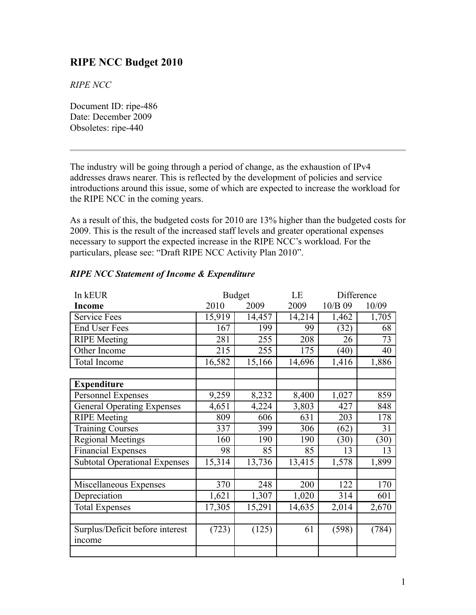# **RIPE NCC Budget 2010**

*RIPE NCC*

Document ID: ripe-486 Date: December 2009 Obsoletes: ripe-440

The industry will be going through a period of change, as the exhaustion of IPv4 addresses draws nearer. This is reflected by the development of policies and service introductions around this issue, some of which are expected to increase the workload for the RIPE NCC in the coming years.

As a result of this, the budgeted costs for 2010 are 13% higher than the budgeted costs for 2009. This is the result of the increased staff levels and greater operational expenses necessary to support the expected increase in the RIPE NCC's workload. For the particulars, please see: "Draft RIPE NCC Activity Plan 2010".

| In kEUR                              | <b>Budget</b> |        | LE     | Difference       |       |
|--------------------------------------|---------------|--------|--------|------------------|-------|
| <b>Income</b>                        | 2009<br>2010  |        | 2009   | 10/B 09<br>10/09 |       |
| <b>Service Fees</b>                  | 15,919        | 14,457 | 14,214 | 1,462            | 1,705 |
| <b>End User Fees</b>                 | 167           | 199    | 99     | (32)             | 68    |
| <b>RIPE</b> Meeting                  | 281           | 255    | 208    | 26               | 73    |
| Other Income                         | 215           | 255    | 175    | (40)             | 40    |
| Total Income                         | 16,582        | 15,166 | 14,696 | 1,416            | 1,886 |
|                                      |               |        |        |                  |       |
| <b>Expenditure</b>                   |               |        |        |                  |       |
| Personnel Expenses                   | 9,259         | 8,232  | 8,400  | 1,027            | 859   |
| <b>General Operating Expenses</b>    | 4,651         | 4,224  | 3,803  | 427              | 848   |
| <b>RIPE</b> Meeting                  | 809           | 606    | 631    | 203              | 178   |
| <b>Training Courses</b>              | 337           | 399    | 306    | (62)             | 31    |
| <b>Regional Meetings</b>             | 160           | 190    | 190    | (30)             | (30)  |
| <b>Financial Expenses</b>            | 98            | 85     | 85     | 13               | 13    |
| <b>Subtotal Operational Expenses</b> | 15,314        | 13,736 | 13,415 | 1,578            | 1,899 |
|                                      |               |        |        |                  |       |
| Miscellaneous Expenses               | 370           | 248    | 200    | 122              | 170   |
| Depreciation                         | 1,621         | 1,307  | 1,020  | 314              | 601   |
| <b>Total Expenses</b>                | 17,305        | 15,291 | 14,635 | 2,014            | 2,670 |
|                                      |               |        |        |                  |       |
| Surplus/Deficit before interest      | (723)         | (125)  | 61     | (598)            | (784) |
| income                               |               |        |        |                  |       |
|                                      |               |        |        |                  |       |

## *RIPE NCC Statement of Income & Expenditure*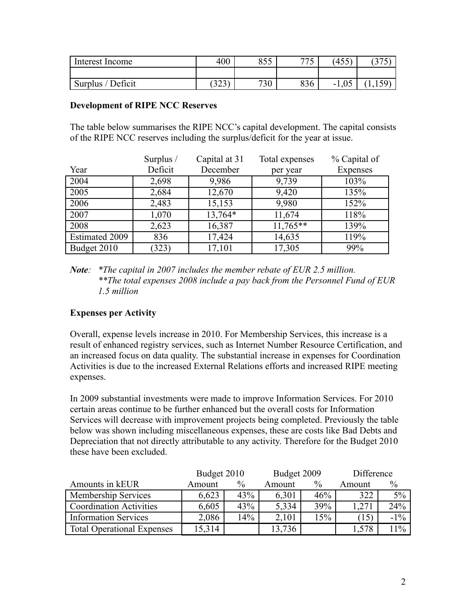| Interest Income   | 400              | OEC<br>ر ر 0 | 775<br>$\overline{\phantom{0}}$ | $\Lambda$ $\Gamma$ $\Gamma$ )<br>45J | $\sqrt{2}$ |
|-------------------|------------------|--------------|---------------------------------|--------------------------------------|------------|
|                   |                  |              |                                 |                                      |            |
| Surplus / Deficit | $\Delta$<br>ر ∠ر | 730          | 836                             | ∩⊊<br>$-1$<br>UJ.                    |            |

#### **Development of RIPE NCC Reserves**

The table below summarises the RIPE NCC's capital development. The capital consists of the RIPE NCC reserves including the surplus/deficit for the year at issue.

|                | Surplus / | Capital at 31 | Total expenses | % Capital of    |
|----------------|-----------|---------------|----------------|-----------------|
| Year           | Deficit   | December      | per year       | <b>Expenses</b> |
| 2004           | 2,698     | 9,986         | 9,739          | 103%            |
| 2005           | 2,684     | 12,670        | 9,420          | 135%            |
| 2006           | 2,483     | 15,153        | 9,980          | 152%            |
| 2007           | 1,070     | 13,764*       | 11,674         | 118%            |
| 2008           | 2,623     | 16,387        | $11,765**$     | 139%            |
| Estimated 2009 | 836       | 17,424        | 14,635         | 119%            |
| Budget 2010    | (323)     | 17,101        | 17,305         | 99%             |

*Note: \*The capital in 2007 includes the member rebate of EUR 2.5 million. \*\*The total expenses 2008 include a pay back from the Personnel Fund of EUR 1.5 million*

### **Expenses per Activity**

Overall, expense levels increase in 2010. For Membership Services, this increase is a result of enhanced registry services, such as Internet Number Resource Certification, and an increased focus on data quality. The substantial increase in expenses for Coordination Activities is due to the increased External Relations efforts and increased RIPE meeting expenses.

In 2009 substantial investments were made to improve Information Services. For 2010 certain areas continue to be further enhanced but the overall costs for Information Services will decrease with improvement projects being completed. Previously the table below was shown including miscellaneous expenses, these are costs like Bad Debts and Depreciation that not directly attributable to any activity. Therefore for the Budget 2010 these have been excluded.

|                                   | Budget 2010 |               | Budget 2009 |      | Difference |               |
|-----------------------------------|-------------|---------------|-------------|------|------------|---------------|
| Amounts in kEUR                   | Amount      | $\frac{0}{0}$ | Amount      | $\%$ | Amount     | $\frac{0}{0}$ |
| Membership Services               | 6,623       | 43%           | 6,301       | 46%  | 322        | 5%            |
| <b>Coordination Activities</b>    | 6,605       | 43%           | 5,334       | 39%  | ,271       | 24%           |
| <b>Information Services</b>       | 2,086       | 14%           | 2,101       | 15%  | (15)       | $-1\%$        |
| <b>Total Operational Expenses</b> | 15,314      |               | 13,736      |      | .578       | 11%           |